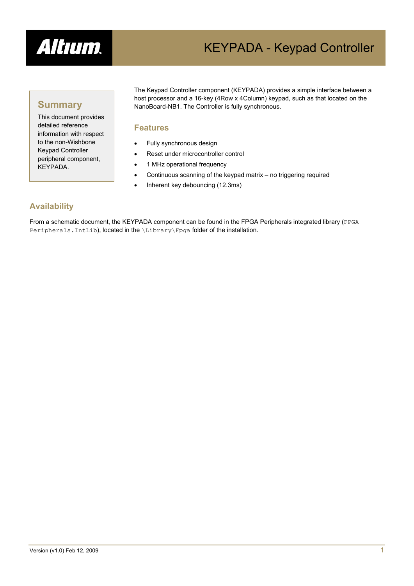

# KEYPADA - Keypad Controller

### **Summary**

This document provides detailed reference information with respect to the non-Wishbone Keypad Controller peripheral component, KEYPADA.

The Keypad Controller component (KEYPADA) provides a simple interface between a host processor and a 16-key (4Row x 4Column) keypad, such as that located on the NanoBoard-NB1. The Controller is fully synchronous.

#### **Features**

- Fully synchronous design
- Reset under microcontroller control
- 1 MHz operational frequency
- Continuous scanning of the keypad matrix no triggering required
- Inherent key debouncing (12.3ms)

### **Availability**

From a schematic document, the KEYPADA component can be found in the FPGA Peripherals integrated library (FPGA Peripherals. IntLib), located in the \Library\Fpga folder of the installation.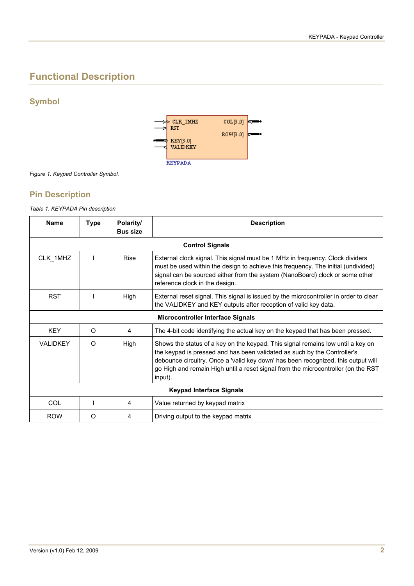# **Functional Description**

### **Symbol**



*Figure 1. Keypad Controller Symbol.* 

#### **Pin Description**

*Table 1. KEYPADA Pin description* 

| <b>Name</b>                              | <b>Type</b> | Polarity/<br><b>Bus size</b> | <b>Description</b>                                                                                                                                                                                                                                                                                                                               |  |  |
|------------------------------------------|-------------|------------------------------|--------------------------------------------------------------------------------------------------------------------------------------------------------------------------------------------------------------------------------------------------------------------------------------------------------------------------------------------------|--|--|
| <b>Control Signals</b>                   |             |                              |                                                                                                                                                                                                                                                                                                                                                  |  |  |
| CLK 1MHZ                                 |             | Rise                         | External clock signal. This signal must be 1 MHz in frequency. Clock dividers<br>must be used within the design to achieve this frequency. The initial (undivided)<br>signal can be sourced either from the system (NanoBoard) clock or some other<br>reference clock in the design.                                                             |  |  |
| <b>RST</b>                               |             | High                         | External reset signal. This signal is issued by the microcontroller in order to clear<br>the VALIDKEY and KEY outputs after reception of valid key data.                                                                                                                                                                                         |  |  |
| <b>Microcontroller Interface Signals</b> |             |                              |                                                                                                                                                                                                                                                                                                                                                  |  |  |
| <b>KEY</b>                               | $\Omega$    | 4                            | The 4-bit code identifying the actual key on the keypad that has been pressed.                                                                                                                                                                                                                                                                   |  |  |
| <b>VALIDKEY</b>                          | O           | High                         | Shows the status of a key on the keypad. This signal remains low until a key on<br>the keypad is pressed and has been validated as such by the Controller's<br>debounce circuitry. Once a 'valid key down' has been recognized, this output will<br>go High and remain High until a reset signal from the microcontroller (on the RST<br>input). |  |  |
| <b>Keypad Interface Signals</b>          |             |                              |                                                                                                                                                                                                                                                                                                                                                  |  |  |
| COL                                      |             | 4                            | Value returned by keypad matrix                                                                                                                                                                                                                                                                                                                  |  |  |
| <b>ROW</b>                               | O           | 4                            | Driving output to the keypad matrix                                                                                                                                                                                                                                                                                                              |  |  |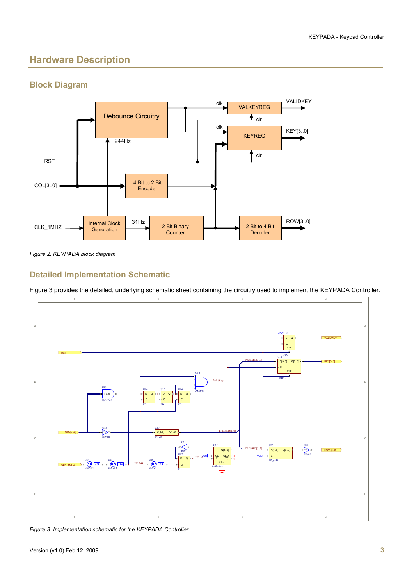# **Hardware Description**

### **Block Diagram**



*Figure 2. KEYPADA block diagram* 

### **Detailed Implementation Schematic**

[Figure 3](#page-2-0) provides the detailed, underlying schematic sheet containing the circuitry used to implement the KEYPADA Controller.



<span id="page-2-0"></span>*Figure 3. Implementation schematic for the KEYPADA Controller*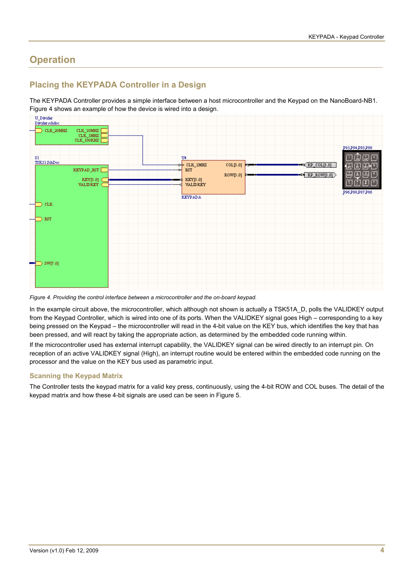# **Operation**

### **Placing the KEYPADA Controller in a Design**

The KEYPADA Controller provides a simple interface between a host microcontroller and the Keypad on the NanoBoard-NB1. [Figure 4](#page-3-0) shows an example of how the device is wired into a design.



<span id="page-3-0"></span>*Figure 4. Providing the control interface between a microcontroller and the on-board keypad.* 

In the example circuit above, the microcontroller, which although not shown is actually a TSK51A\_D, polls the VALIDKEY output from the Keypad Controller, which is wired into one of its ports. When the VALIDKEY signal goes High – corresponding to a key being pressed on the Keypad – the microcontroller will read in the 4-bit value on the KEY bus, which identifies the key that has been pressed, and will react by taking the appropriate action, as determined by the embedded code running within.

If the microcontroller used has external interrupt capability, the VALIDKEY signal can be wired directly to an interrupt pin. On reception of an active VALIDKEY signal (High), an interrupt routine would be entered within the embedded code running on the processor and the value on the KEY bus used as parametric input.

#### **Scanning the Keypad Matrix**

The Controller tests the keypad matrix for a valid key press, continuously, using the 4-bit ROW and COL buses. The detail of the keypad matrix and how these 4-bit signals are used can be seen in [Figure 5](#page-4-0).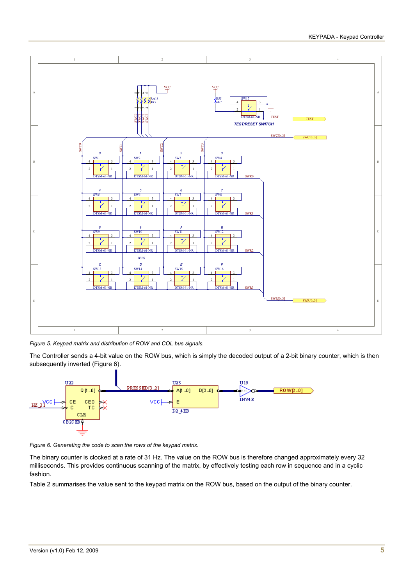

<span id="page-4-0"></span>*Figure 5. Keypad matrix and distribution of ROW and COL bus signals.* 

The Controller sends a 4-bit value on the ROW bus, which is simply the decoded output of a 2-bit binary counter, which is then subsequently inverted ([Figure 6\)](#page-4-1).



<span id="page-4-1"></span>*Figure 6. Generating the code to scan the rows of the keypad matrix.* 

The binary counter is clocked at a rate of 31 Hz. The value on the ROW bus is therefore changed approximately every 32 milliseconds. This provides continuous scanning of the matrix, by effectively testing each row in sequence and in a cyclic fashion.

[Table 2](#page-5-0) summarises the value sent to the keypad matrix on the ROW bus, based on the output of the binary counter.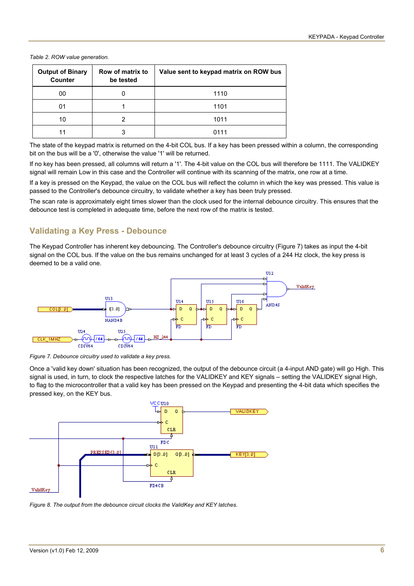#### <span id="page-5-0"></span>*Table 2. ROW value generation.*

| <b>Output of Binary</b><br><b>Counter</b> | Row of matrix to<br>be tested | Value sent to keypad matrix on ROW bus |
|-------------------------------------------|-------------------------------|----------------------------------------|
| 00                                        |                               | 1110                                   |
| 01                                        |                               | 1101                                   |
| 10                                        |                               | 1011                                   |
|                                           |                               | 0111                                   |

The state of the keypad matrix is returned on the 4-bit COL bus. If a key has been pressed within a column, the corresponding bit on the bus will be a '0', otherwise the value '1' will be returned.

If no key has been pressed, all columns will return a '1'. The 4-bit value on the COL bus will therefore be 1111. The VALIDKEY signal will remain Low in this case and the Controller will continue with its scanning of the matrix, one row at a time.

If a key is pressed on the Keypad, the value on the COL bus will reflect the column in which the key was pressed. This value is passed to the Controller's debounce circuitry, to validate whether a key has been truly pressed.

The scan rate is approximately eight times slower than the clock used for the internal debounce circuitry. This ensures that the debounce test is completed in adequate time, before the next row of the matrix is tested.

#### **Validating a Key Press - Debounce**

The Keypad Controller has inherent key debouncing. The Controller's debounce circuitry [\(Figure 7](#page-5-1)) takes as input the 4-bit signal on the COL bus. If the value on the bus remains unchanged for at least 3 cycles of a 244 Hz clock, the key press is deemed to be a valid one.



<span id="page-5-1"></span>*Figure 7. Debounce circuitry used to validate a key press.* 

Once a 'valid key down' situation has been recognized, the output of the debounce circuit (a 4-input AND gate) will go High. This signal is used, in turn, to clock the respective latches for the VALIDKEY and KEY signals – setting the VALIDKEY signal High, to flag to the microcontroller that a valid key has been pressed on the Keypad and presenting the 4-bit data which specifies the pressed key, on the KEY bus.



*Figure 8. The output from the debounce circuit clocks the ValidKey and KEY latches.*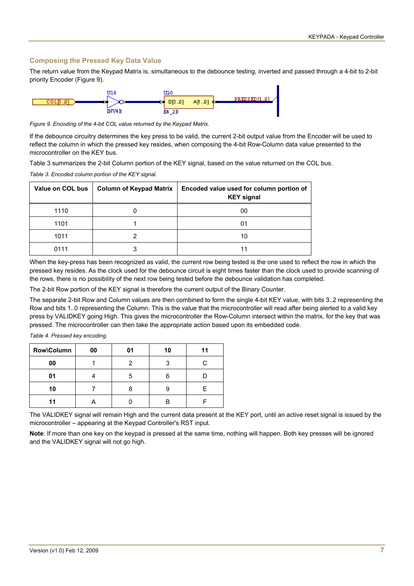#### **Composing the Pressed Key Data Value**

The return value from the Keypad Matrix is, simultaneous to the debounce testing, inverted and passed through a 4-bit to 2-bit priority Encoder [\(Figure 9](#page-6-0)).



<span id="page-6-0"></span>*Figure 9. Encoding of the 4-bit COL value returned by the Keypad Matrix.* 

If the debounce circuitry determines the key press to be valid, the current 2-bit output value from the Encoder will be used to reflect the column in which the pressed key resides, when composing the 4-bit Row-Column data value presented to the microcontroller on the KEY bus.

[Table 3](#page-6-1) summarizes the 2-bit Column portion of the KEY signal, based on the value returned on the COL bus.

<span id="page-6-1"></span>*Table 3. Encoded column portion of the KEY signal.* 

| Value on COL bus | Column of Keypad Matrix | Encoded value used for column portion of<br><b>KEY signal</b> |
|------------------|-------------------------|---------------------------------------------------------------|
| 1110             |                         | 00                                                            |
| 1101             |                         | 01                                                            |
| 1011             |                         | 10                                                            |
| 0111             |                         |                                                               |

When the key-press has been recognized as valid, the current row being tested is the one used to reflect the row in which the pressed key resides. As the clock used for the debounce circuit is eight times faster than the clock used to provide scanning of the rows, there is no possibility of the next row being tested before the debounce validation has completed.

The 2-bit Row portion of the KEY signal is therefore the current output of the Binary Counter.

The separate 2-bit Row and Column values are then combined to form the single 4-bit KEY value, with bits 3..2 representing the Row and bits 1..0 representing the Column. This is the value that the microcontroller will read after being alerted to a valid key press by VALIDKEY going High. This gives the microcontroller the Row-Column intersect within the matrix, for the key that was pressed. The microcontroller can then take the appropriate action based upon its embedded code.

| Row\Column | 00 | 01 | 10 |  |  |  |
|------------|----|----|----|--|--|--|
| 00         |    |    |    |  |  |  |
| 01         |    |    |    |  |  |  |

**10** 7 8 9 E **11** | A | 0 | B | F

*Table 4. Pressed key encoding.* 

The VALIDKEY signal will remain High and the current data present at the KEY port, until an active reset signal is issued by the microcontroller – appearing at the Keypad Controller's RST input.

**Note**: If more than one key on the keypad is pressed at the same time, nothing will happen. Both key presses will be ignored and the VALIDKEY signal will not go high.